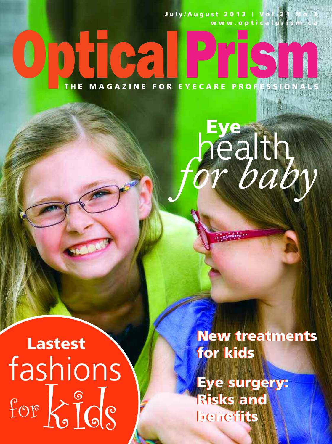July/August 2013 | V www.opti

THE MAGAZINE FOR EYECARE PROFESSIO

## *for baby* **Eye**<br>**health**

 $k$ ids Lastest fashions for

New treatments New treatments for kids for kids

Eye surgery: Eye surgery: Risks and Risks and benefits benefits